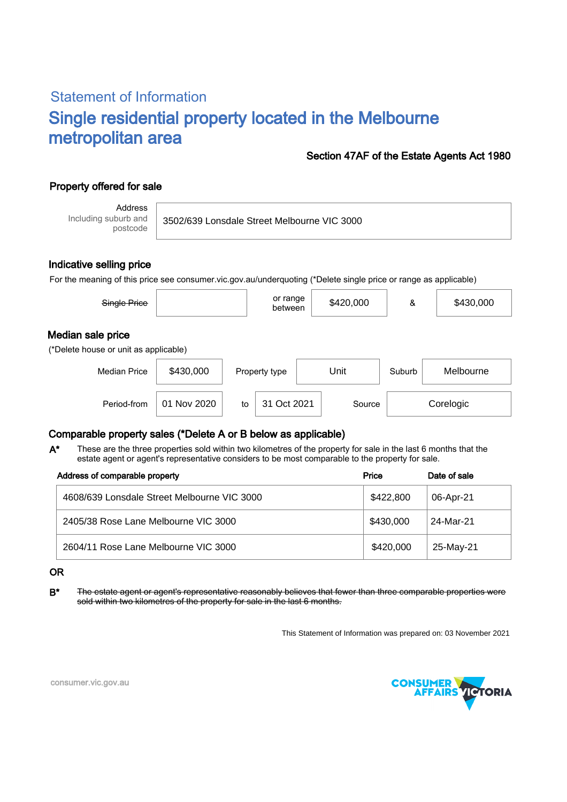# Statement of Information Single residential property located in the Melbourne metropolitan area

### Section 47AF of the Estate Agents Act 1980

## Property offered for sale

Address Including suburb and postcode

3502/639 Lonsdale Street Melbourne VIC 3000

### Indicative selling price

For the meaning of this price see consumer.vic.gov.au/underquoting (\*Delete single price or range as applicable)

| Single Price                          |           | or range<br>between | \$420,000 | &      | \$430,000 |  |  |  |
|---------------------------------------|-----------|---------------------|-----------|--------|-----------|--|--|--|
| Median sale price                     |           |                     |           |        |           |  |  |  |
| (*Delete house or unit as applicable) |           |                     |           |        |           |  |  |  |
| <b>Median Price</b>                   | \$430,000 | Property type       | Unit      | Suburb | Melbourne |  |  |  |

Period-from | 01 Nov 2020 | to | 31 Oct 2021 | Source | Corelogic

## Comparable property sales (\*Delete A or B below as applicable)

These are the three properties sold within two kilometres of the property for sale in the last 6 months that the estate agent or agent's representative considers to be most comparable to the property for sale. A\*

| Address of comparable property              | Price     | Date of sale |
|---------------------------------------------|-----------|--------------|
| 4608/639 Lonsdale Street Melbourne VIC 3000 | \$422.800 | 06-Apr-21    |
| 2405/38 Rose Lane Melbourne VIC 3000        | \$430,000 | 24-Mar-21    |
| 2604/11 Rose Lane Melbourne VIC 3000        | \$420,000 | 25-May-21    |

#### OR

B<sup>\*</sup> The estate agent or agent's representative reasonably believes that fewer than three comparable properties were sold within two kilometres of the property for sale in the last 6 months.

This Statement of Information was prepared on: 03 November 2021



consumer.vic.gov.au